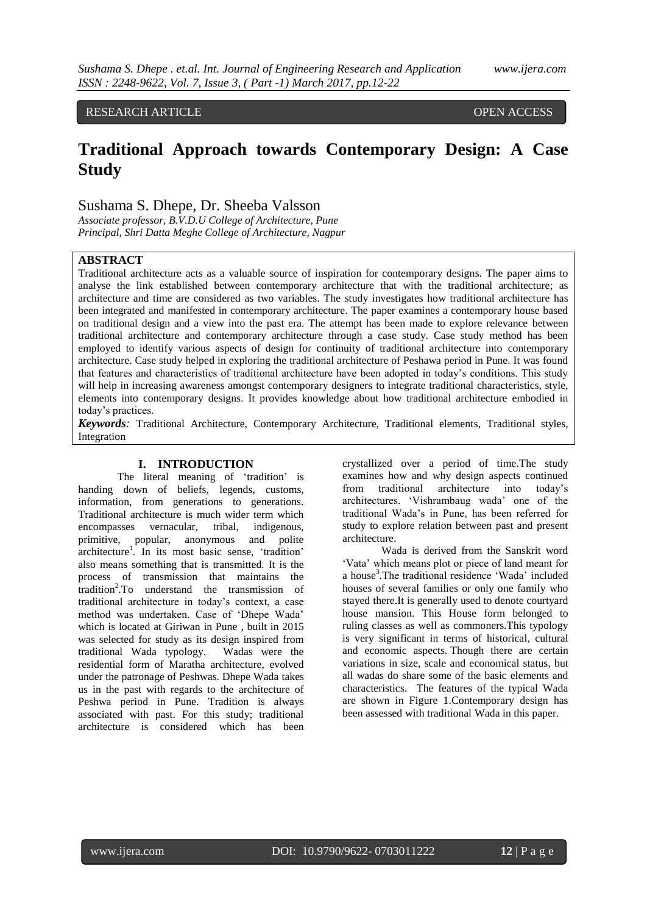# RESEARCH ARTICLE **CONSERVERS** OPEN ACCESS

# **Traditional Approach towards Contemporary Design: A Case Study**

# Sushama S. Dhepe, Dr. Sheeba Valsson

*Associate professor, B.V.D.U College of Architecture, Pune Principal, Shri Datta Meghe College of Architecture, Nagpur*

## **ABSTRACT**

Traditional architecture acts as a valuable source of inspiration for contemporary designs. The paper aims to analyse the link established between contemporary architecture that with the traditional architecture; as architecture and time are considered as two variables. The study investigates how traditional architecture has been integrated and manifested in contemporary architecture. The paper examines a contemporary house based on traditional design and a view into the past era. The attempt has been made to explore relevance between traditional architecture and contemporary architecture through a case study. Case study method has been employed to identify various aspects of design for continuity of traditional architecture into contemporary architecture. Case study helped in exploring the traditional architecture of Peshawa period in Pune. It was found that features and characteristics of traditional architecture have been adopted in today's conditions. This study will help in increasing awareness amongst contemporary designers to integrate traditional characteristics, style, elements into contemporary designs. It provides knowledge about how traditional architecture embodied in today's practices.

*Keywords:* Traditional Architecture, Contemporary Architecture, Traditional elements, Traditional styles, Integration

## **I. INTRODUCTION**

The literal meaning of 'tradition' is handing down of beliefs, legends, customs, information, from generations to generations. Traditional architecture is much wider term which encompasses vernacular, tribal, indigenous, primitive, popular, anonymous and polite architecture<sup>1</sup>. In its most basic sense, 'tradition' also means something that is transmitted. It is the process of transmission that maintains the tradition<sup>2</sup>.To understand the transmission of traditional architecture in today's context, a case method was undertaken. Case of 'Dhepe Wada' which is located at Giriwan in Pune , built in 2015 was selected for study as its design inspired from traditional Wada typology. Wadas were the residential form of Maratha architecture, evolved under the patronage of Peshwas. Dhepe Wada takes us in the past with regards to the architecture of Peshwa period in Pune. Tradition is always associated with past. For this study; traditional architecture is considered which has been

crystallized over a period of time.The study examines how and why design aspects continued from traditional architecture into today's architectures. 'Vishrambaug wada' one of the traditional Wada's in Pune, has been referred for study to explore relation between past and present architecture.

Wada is derived from the Sanskrit word 'Vata' which means plot or piece of land meant for a house<sup>3</sup>. The traditional residence 'Wada' included houses of several families or only one family who stayed there.It is generally used to denote courtyard house mansion. This House form belonged to ruling classes as well as commoners.This typology is very significant in terms of historical, cultural and economic aspects. Though there are certain variations in size, scale and economical status, but all wadas do share some of the basic elements and characteristics. The features of the typical Wada are shown in Figure 1.Contemporary design has been assessed with traditional Wada in this paper.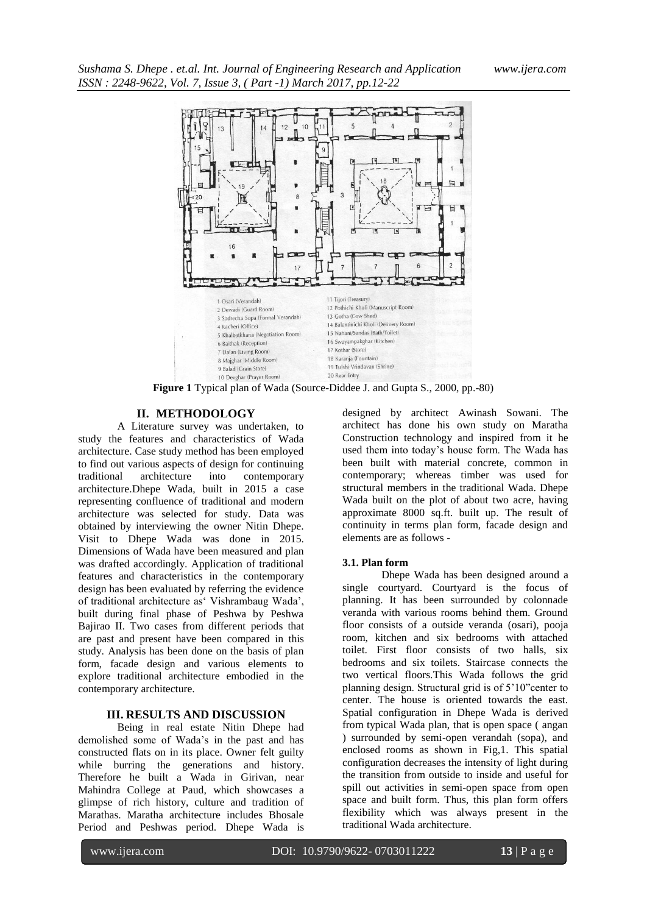

**Figure 1** Typical plan of Wada (Source-Diddee J. and Gupta S., 2000, pp.-80)

## **II. METHODOLOGY**

A Literature survey was undertaken, to study the features and characteristics of Wada architecture. Case study method has been employed to find out various aspects of design for continuing traditional architecture into contemporary architecture.Dhepe Wada, built in 2015 a case representing confluence of traditional and modern architecture was selected for study. Data was obtained by interviewing the owner Nitin Dhepe. Visit to Dhepe Wada was done in 2015. Dimensions of Wada have been measured and plan was drafted accordingly. Application of traditional features and characteristics in the contemporary design has been evaluated by referring the evidence of traditional architecture as' Vishrambaug Wada', built during final phase of Peshwa by Peshwa Bajirao II. Two cases from different periods that are past and present have been compared in this study. Analysis has been done on the basis of plan form, facade design and various elements to explore traditional architecture embodied in the contemporary architecture.

## **III. RESULTS AND DISCUSSION**

Being in real estate Nitin Dhepe had demolished some of Wada's in the past and has constructed flats on in its place. Owner felt guilty while burring the generations and history. Therefore he built a Wada in Girivan, near Mahindra College at Paud, which showcases a glimpse of rich history, culture and tradition of Marathas. Maratha architecture includes Bhosale Period and Peshwas period. Dhepe Wada is

designed by architect Awinash Sowani. The architect has done his own study on Maratha Construction technology and inspired from it he used them into today's house form. The Wada has been built with material concrete, common in contemporary; whereas timber was used for structural members in the traditional Wada. Dhepe Wada built on the plot of about two acre, having approximate 8000 sq.ft. built up. The result of continuity in terms plan form, facade design and elements are as follows -

#### **3.1. Plan form**

Dhepe Wada has been designed around a single courtyard. Courtyard is the focus of planning. It has been surrounded by colonnade veranda with various rooms behind them. Ground floor consists of a outside veranda (osari), pooja room, kitchen and six bedrooms with attached toilet. First floor consists of two halls, six bedrooms and six toilets. Staircase connects the two vertical floors.This Wada follows the grid planning design. Structural grid is of 5'10"center to center. The house is oriented towards the east. Spatial configuration in Dhepe Wada is derived from typical Wada plan, that is open space ( angan ) surrounded by semi-open verandah (sopa), and enclosed rooms as shown in Fig,1. This spatial configuration decreases the intensity of light during the transition from outside to inside and useful for spill out activities in semi-open space from open space and built form. Thus, this plan form offers flexibility which was always present in the traditional Wada architecture.

www.ijera.com DOI: 10.9790/9622- 0703011222 **13** | P a g e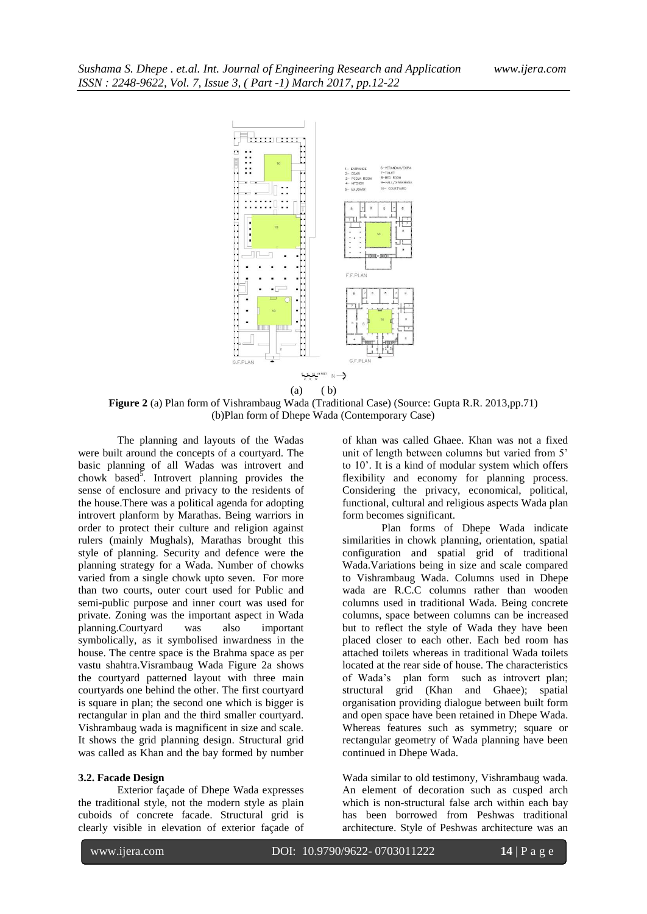

**Figure 2** (a) Plan form of Vishrambaug Wada (Traditional Case) (Source: Gupta R.R. 2013,pp.71) (b)Plan form of Dhepe Wada (Contemporary Case)

The planning and layouts of the Wadas were built around the concepts of a courtyard. The basic planning of all Wadas was introvert and chowk based<sup>5</sup>. Introvert planning provides the sense of enclosure and privacy to the residents of the house.There was a political agenda for adopting introvert planform by Marathas. Being warriors in order to protect their culture and religion against rulers (mainly Mughals), Marathas brought this style of planning. Security and defence were the planning strategy for a Wada. Number of chowks varied from a single chowk upto seven. For more than two courts, outer court used for Public and semi-public purpose and inner court was used for private. Zoning was the important aspect in Wada planning.Courtyard was also important symbolically, as it symbolised inwardness in the house. The centre space is the Brahma space as per vastu shahtra.Visrambaug Wada Figure 2a shows the courtyard patterned layout with three main courtyards one behind the other. The first courtyard is square in plan; the second one which is bigger is rectangular in plan and the third smaller courtyard. Vishrambaug wada is magnificent in size and scale. It shows the grid planning design. Structural grid was called as Khan and the bay formed by number

#### **3.2. Facade Design**

Exterior façade of Dhepe Wada expresses the traditional style, not the modern style as plain cuboids of concrete facade. Structural grid is clearly visible in elevation of exterior façade of of khan was called Ghaee. Khan was not a fixed unit of length between columns but varied from 5' to 10'. It is a kind of modular system which offers flexibility and economy for planning process. Considering the privacy, economical, political, functional, cultural and religious aspects Wada plan form becomes significant.

Plan forms of Dhepe Wada indicate similarities in chowk planning, orientation, spatial configuration and spatial grid of traditional Wada.Variations being in size and scale compared to Vishrambaug Wada. Columns used in Dhepe wada are R.C.C columns rather than wooden columns used in traditional Wada. Being concrete columns, space between columns can be increased but to reflect the style of Wada they have been placed closer to each other. Each bed room has attached toilets whereas in traditional Wada toilets located at the rear side of house. The characteristics of Wada's plan form such as introvert plan; structural grid (Khan and Ghaee); spatial organisation providing dialogue between built form and open space have been retained in Dhepe Wada. Whereas features such as symmetry; square or rectangular geometry of Wada planning have been continued in Dhepe Wada.

Wada similar to old testimony, Vishrambaug wada. An element of decoration such as cusped arch which is non-structural false arch within each bay has been borrowed from Peshwas traditional architecture. Style of Peshwas architecture was an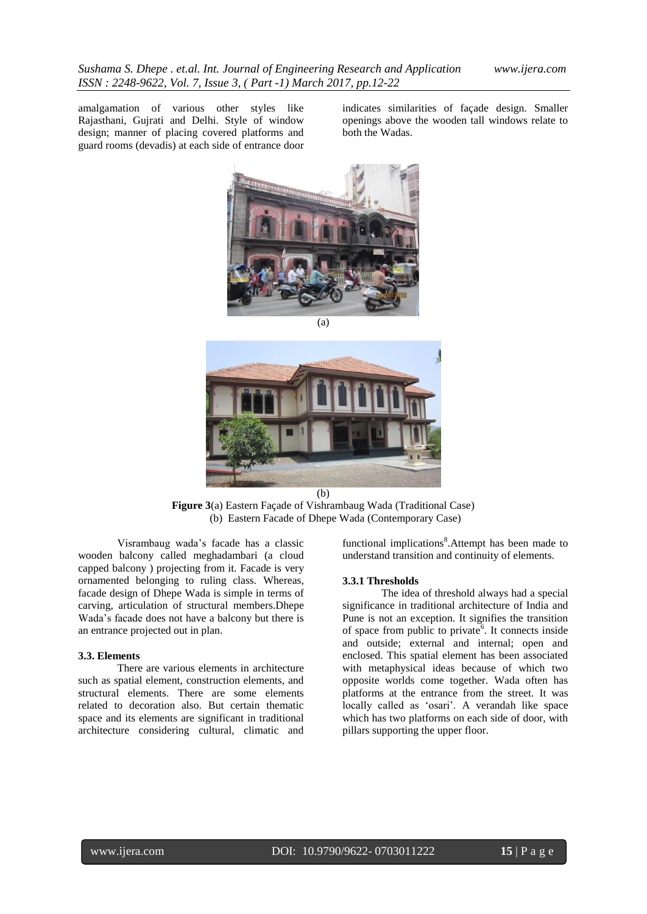amalgamation of various other styles like Rajasthani, Gujrati and Delhi. Style of window design; manner of placing covered platforms and guard rooms (devadis) at each side of entrance door

indicates similarities of façade design. Smaller openings above the wooden tall windows relate to both the Wadas.



(a)



**Figure 3**(a) Eastern Façade of Vishrambaug Wada (Traditional Case) (b) Eastern Facade of Dhepe Wada (Contemporary Case)

Visrambaug wada's facade has a classic wooden balcony called meghadambari (a cloud capped balcony ) projecting from it. Facade is very ornamented belonging to ruling class. Whereas, facade design of Dhepe Wada is simple in terms of carving, articulation of structural members.Dhepe Wada's facade does not have a balcony but there is an entrance projected out in plan.

#### **3.3. Elements**

There are various elements in architecture such as spatial element, construction elements, and structural elements. There are some elements related to decoration also. But certain thematic space and its elements are significant in traditional architecture considering cultural, climatic and

functional implications<sup>8</sup>. Attempt has been made to understand transition and continuity of elements.

## **3.3.1 Thresholds**

The idea of threshold always had a special significance in traditional architecture of India and Pune is not an exception. It signifies the transition of space from public to private<sup> $6$ </sup>. It connects inside and outside; external and internal; open and enclosed. This spatial element has been associated with metaphysical ideas because of which two opposite worlds come together. Wada often has platforms at the entrance from the street. It was locally called as 'osari'. A verandah like space which has two platforms on each side of door, with pillars supporting the upper floor.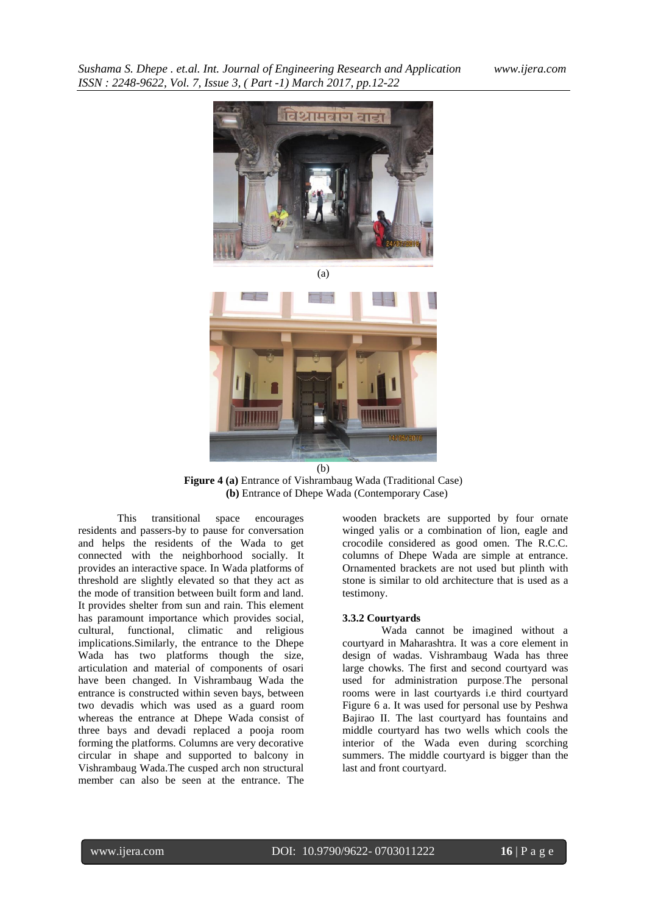



**Figure 4 (a)** Entrance of Vishrambaug Wada (Traditional Case) **(b)** Entrance of Dhepe Wada (Contemporary Case)

This transitional space encourages residents and passers-by to pause for conversation and helps the residents of the Wada to get connected with the neighborhood socially. It provides an interactive space. In Wada platforms of threshold are slightly elevated so that they act as the mode of transition between built form and land. It provides shelter from sun and rain. This element has paramount importance which provides social, cultural, functional, climatic and religious implications.Similarly, the entrance to the Dhepe Wada has two platforms though the size, articulation and material of components of osari have been changed. In Vishrambaug Wada the entrance is constructed within seven bays, between two devadis which was used as a guard room whereas the entrance at Dhepe Wada consist of three bays and devadi replaced a pooja room forming the platforms. Columns are very decorative circular in shape and supported to balcony in Vishrambaug Wada.The cusped arch non structural member can also be seen at the entrance. The

wooden brackets are supported by four ornate winged yalis or a combination of lion, eagle and crocodile considered as good omen. The R.C.C. columns of Dhepe Wada are simple at entrance. Ornamented brackets are not used but plinth with stone is similar to old architecture that is used as a testimony.

#### **3.3.2 Courtyards**

Wada cannot be imagined without a courtyard in Maharashtra. It was a core element in design of wadas. Vishrambaug Wada has three large chowks. The first and second courtyard was used for administration purpose.The personal rooms were in last courtyards i.e third courtyard Figure 6 a. It was used for personal use by Peshwa Bajirao II. The last courtyard has fountains and middle courtyard has two wells which cools the interior of the Wada even during scorching summers. The middle courtyard is bigger than the last and front courtyard.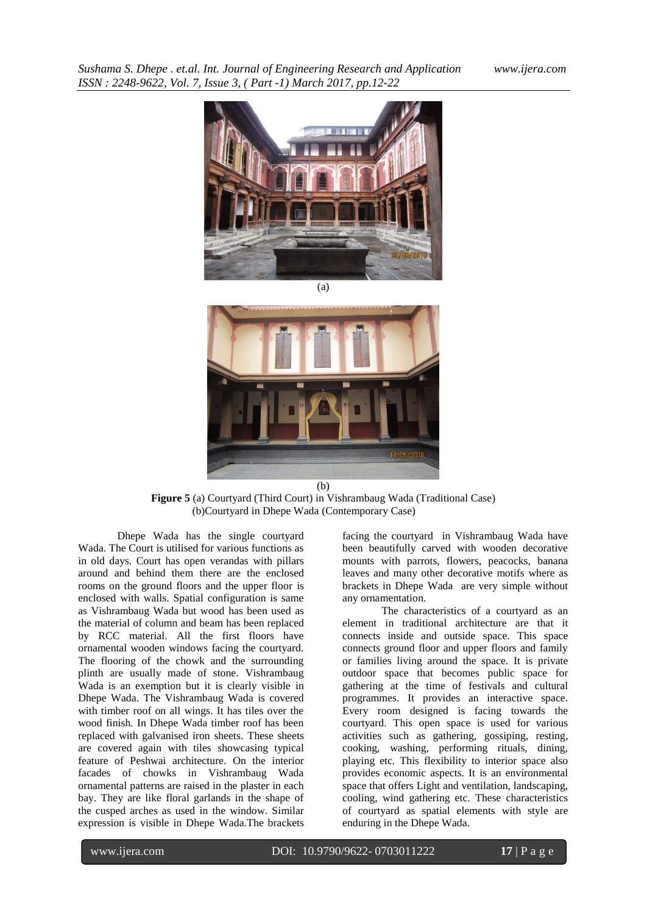



**Figure 5** (a) Courtyard (Third Court) in Vishrambaug Wada (Traditional Case) (b)Courtyard in Dhepe Wada (Contemporary Case)

Dhepe Wada has the single courtyard Wada. The Court is utilised for various functions as in old days. Court has open verandas with pillars around and behind them there are the enclosed rooms on the ground floors and the upper floor is enclosed with walls. Spatial configuration is same as Vishrambaug Wada but wood has been used as the material of column and beam has been replaced by RCC material. All the first floors have ornamental wooden windows facing the courtyard. The flooring of the chowk and the surrounding plinth are usually made of stone. Vishrambaug Wada is an exemption but it is clearly visible in Dhepe Wada. The Vishrambaug Wada is covered with timber roof on all wings. It has tiles over the wood finish. In Dhepe Wada timber roof has been replaced with galvanised iron sheets. These sheets are covered again with tiles showcasing typical feature of Peshwai architecture. On the interior facades of chowks in Vishrambaug Wada ornamental patterns are raised in the plaster in each bay. They are like floral garlands in the shape of the cusped arches as used in the window. Similar expression is visible in Dhepe Wada.The brackets

www.ijera.com DOI: 10.9790/9622- 0703011222 **17** | P a g e

facing the courtyard in Vishrambaug Wada have been beautifully carved with wooden decorative mounts with parrots, flowers, peacocks, banana leaves and many other decorative motifs where as brackets in Dhepe Wada are very simple without any ornamentation.

The characteristics of a courtyard as an element in traditional architecture are that it connects inside and outside space. This space connects ground floor and upper floors and family or families living around the space. It is private outdoor space that becomes public space for gathering at the time of festivals and cultural programmes. It provides an interactive space. Every room designed is facing towards the courtyard. This open space is used for various activities such as gathering, gossiping, resting, cooking, washing, performing rituals, dining, playing etc. This flexibility to interior space also provides economic aspects. It is an environmental space that offers Light and ventilation, landscaping, cooling, wind gathering etc. These characteristics of courtyard as spatial elements with style are enduring in the Dhepe Wada.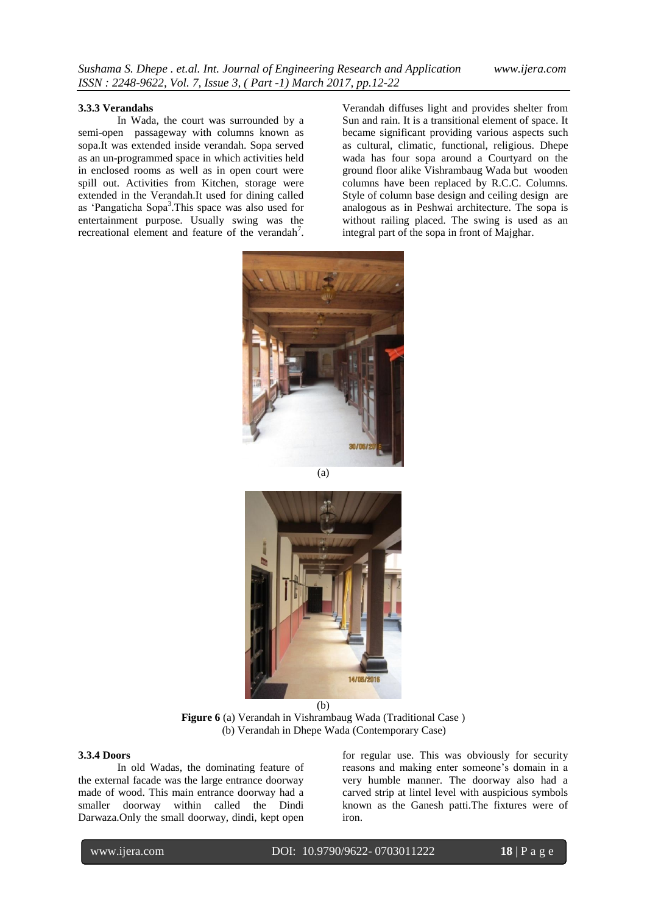#### **3.3.3 Verandahs**

In Wada, the court was surrounded by a semi-open passageway with columns known as sopa.It was extended inside verandah. Sopa served as an un-programmed space in which activities held in enclosed rooms as well as in open court were spill out. Activities from Kitchen, storage were extended in the Verandah.It used for dining called as 'Pangaticha Sopa<sup>3</sup>. This space was also used for entertainment purpose. Usually swing was the recreational element and feature of the verandah<sup>7</sup>.

Verandah diffuses light and provides shelter from Sun and rain. It is a transitional element of space. It became significant providing various aspects such as cultural, climatic, functional, religious. Dhepe wada has four sopa around a Courtyard on the ground floor alike Vishrambaug Wada but wooden columns have been replaced by R.C.C. Columns. Style of column base design and ceiling design are analogous as in Peshwai architecture. The sopa is without railing placed. The swing is used as an integral part of the sopa in front of Majghar.



(a)



**Figure 6** (a) Verandah in Vishrambaug Wada (Traditional Case ) (b) Verandah in Dhepe Wada (Contemporary Case)

## **3.3.4 Doors**

In old Wadas, the dominating feature of the external facade was the large entrance doorway made of wood. This main entrance doorway had a smaller doorway within called the Dindi Darwaza.Only the small doorway, dindi, kept open

for regular use. This was obviously for security reasons and making enter someone's domain in a very humble manner. The doorway also had a carved strip at lintel level with auspicious symbols known as the Ganesh patti.The fixtures were of iron.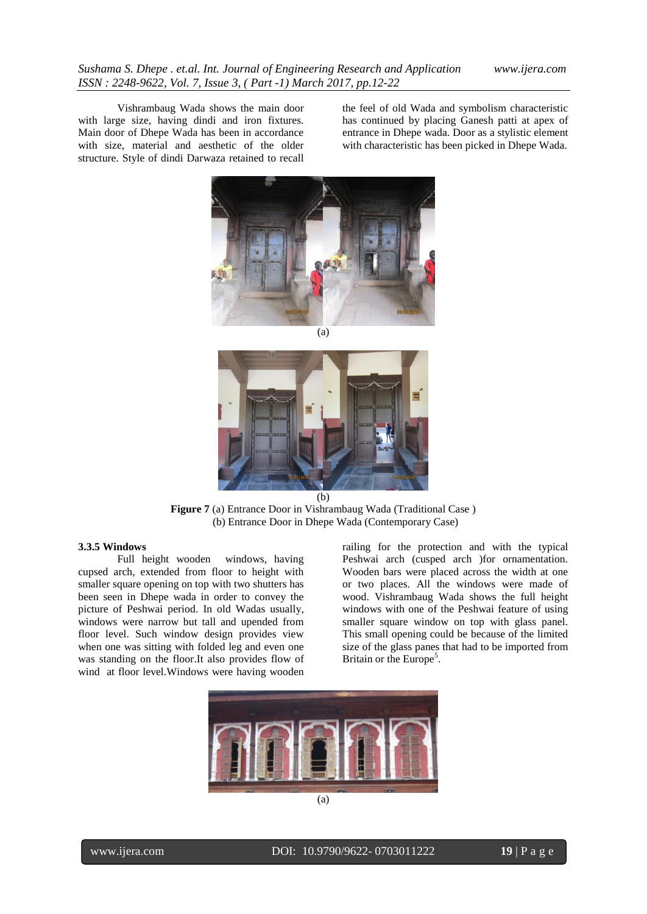Vishrambaug Wada shows the main door with large size, having dindi and iron fixtures. Main door of Dhepe Wada has been in accordance with size, material and aesthetic of the older structure. Style of dindi Darwaza retained to recall

the feel of old Wada and symbolism characteristic has continued by placing Ganesh patti at apex of entrance in Dhepe wada. Door as a stylistic element with characteristic has been picked in Dhepe Wada.



(a)



**Figure 7** (a) Entrance Door in Vishrambaug Wada (Traditional Case ) (b) Entrance Door in Dhepe Wada (Contemporary Case)

## **3.3.5 Windows**

Full height wooden windows, having cupsed arch, extended from floor to height with smaller square opening on top with two shutters has been seen in Dhepe wada in order to convey the picture of Peshwai period. In old Wadas usually, windows were narrow but tall and upended from floor level. Such window design provides view when one was sitting with folded leg and even one was standing on the floor.It also provides flow of wind at floor level.Windows were having wooden

railing for the protection and with the typical Peshwai arch (cusped arch )for ornamentation. Wooden bars were placed across the width at one or two places. All the windows were made of wood. Vishrambaug Wada shows the full height windows with one of the Peshwai feature of using smaller square window on top with glass panel. This small opening could be because of the limited size of the glass panes that had to be imported from Britain or the Europe<sup>5</sup>.

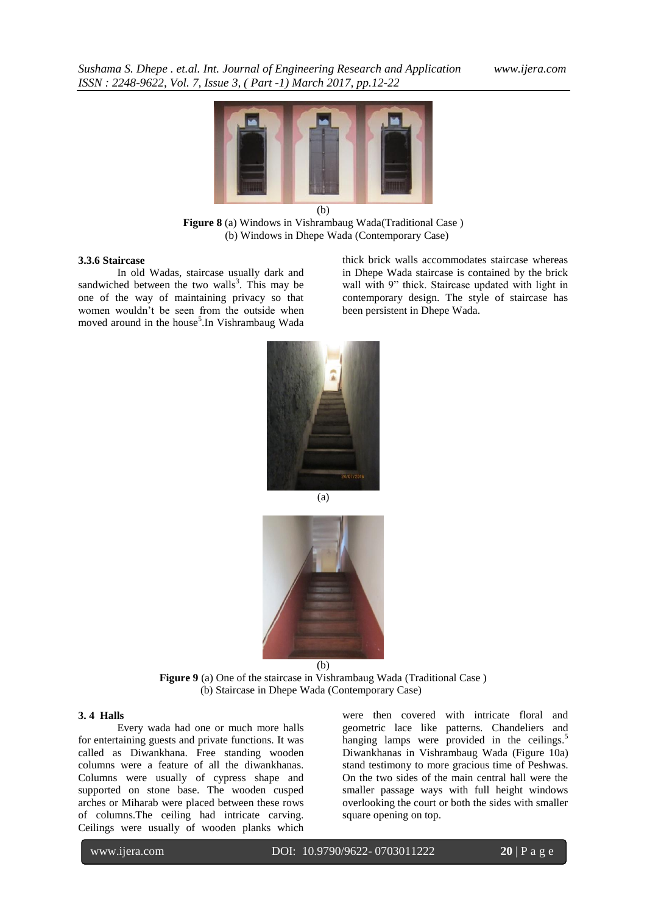

**Figure 8** (a) Windows in Vishrambaug Wada(Traditional Case ) (b) Windows in Dhepe Wada (Contemporary Case)

#### **3.3.6 Staircase**

In old Wadas, staircase usually dark and sandwiched between the two walls<sup>3</sup>. This may be one of the way of maintaining privacy so that women wouldn't be seen from the outside when moved around in the house<sup>5</sup>. In Vishrambaug Wada

thick brick walls accommodates staircase whereas in Dhepe Wada staircase is contained by the brick wall with 9" thick. Staircase updated with light in contemporary design. The style of staircase has been persistent in Dhepe Wada.



(a)



**Figure 9** (a) One of the staircase in Vishrambaug Wada (Traditional Case ) (b) Staircase in Dhepe Wada (Contemporary Case)

#### **3. 4 Halls**

Every wada had one or much more halls for entertaining guests and private functions. It was called as Diwankhana. Free standing wooden columns were a feature of all the diwankhanas. Columns were usually of cypress shape and supported on stone base. The wooden cusped arches or Miharab were placed between these rows of columns.The ceiling had intricate carving. Ceilings were usually of wooden planks which

were then covered with intricate floral and geometric lace like patterns. Chandeliers and hanging lamps were provided in the ceilings.<sup>5</sup> Diwankhanas in Vishrambaug Wada (Figure 10a) stand testimony to more gracious time of Peshwas. On the two sides of the main central hall were the smaller passage ways with full height windows overlooking the court or both the sides with smaller square opening on top.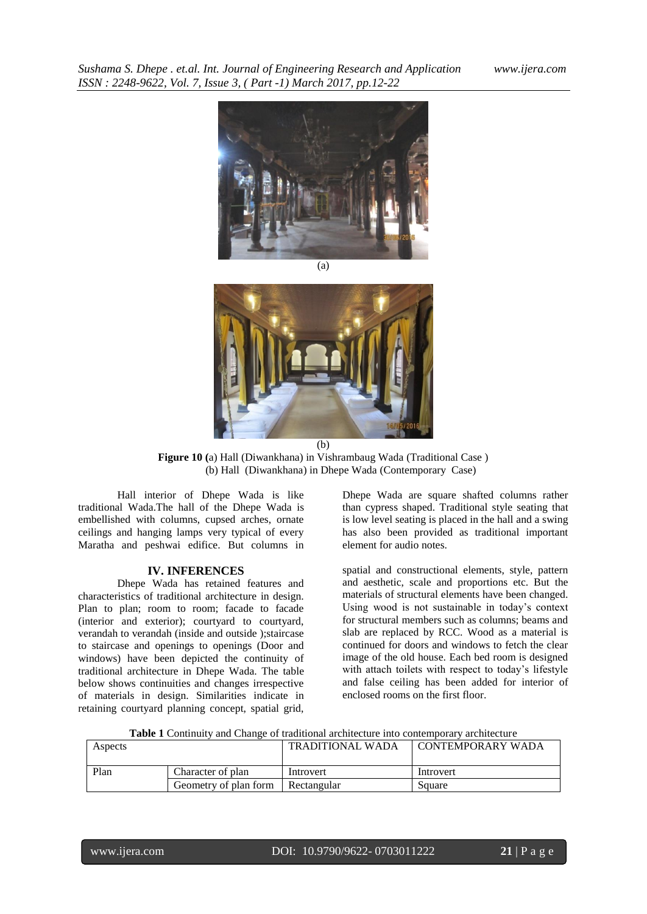

 $\overline{(b)}$ **Figure 10 (**a) Hall (Diwankhana) in Vishrambaug Wada (Traditional Case ) (b) Hall (Diwankhana) in Dhepe Wada (Contemporary Case)

Hall interior of Dhepe Wada is like traditional Wada.The hall of the Dhepe Wada is embellished with columns, cupsed arches, ornate ceilings and hanging lamps very typical of every Maratha and peshwai edifice. But columns in

#### **IV. INFERENCES**

Dhepe Wada has retained features and characteristics of traditional architecture in design. Plan to plan; room to room; facade to facade (interior and exterior); courtyard to courtyard, verandah to verandah (inside and outside );staircase to staircase and openings to openings (Door and windows) have been depicted the continuity of traditional architecture in Dhepe Wada. The table below shows continuities and changes irrespective of materials in design. Similarities indicate in retaining courtyard planning concept, spatial grid,

Dhepe Wada are square shafted columns rather than cypress shaped. Traditional style seating that is low level seating is placed in the hall and a swing has also been provided as traditional important element for audio notes.

spatial and constructional elements, style, pattern and aesthetic, scale and proportions etc. But the materials of structural elements have been changed. Using wood is not sustainable in today's context for structural members such as columns; beams and slab are replaced by RCC. Wood as a material is continued for doors and windows to fetch the clear image of the old house. Each bed room is designed with attach toilets with respect to today's lifestyle and false ceiling has been added for interior of enclosed rooms on the first floor.

| Aspects |                       | TRADITIONAL WADA | <b>CONTEMPORARY WADA</b> |
|---------|-----------------------|------------------|--------------------------|
| Plan    | Character of plan     | Introvert        | Introvert                |
|         | Geometry of plan form | Rectangular      | Square                   |